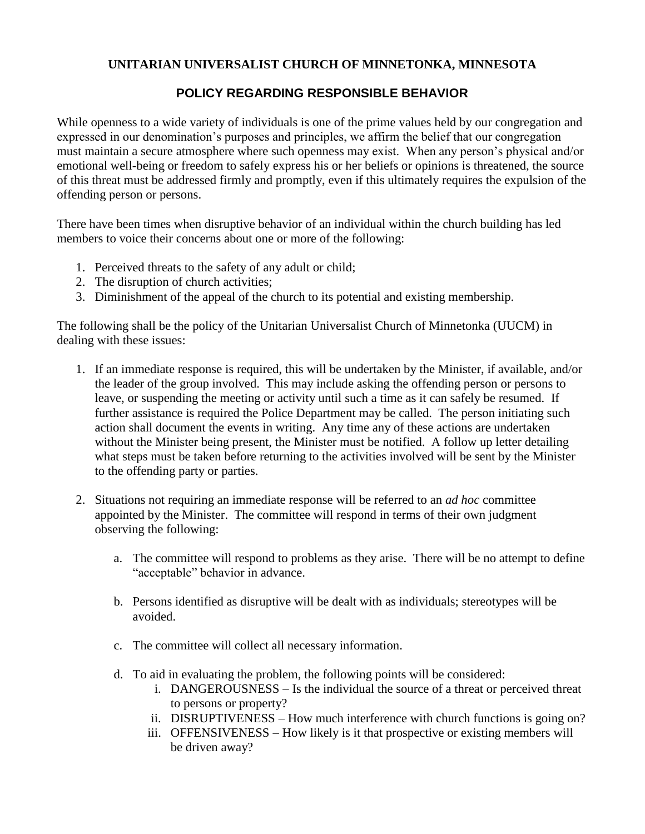## **UNITARIAN UNIVERSALIST CHURCH OF MINNETONKA, MINNESOTA**

## **POLICY REGARDING RESPONSIBLE BEHAVIOR**

While openness to a wide variety of individuals is one of the prime values held by our congregation and expressed in our denomination's purposes and principles, we affirm the belief that our congregation must maintain a secure atmosphere where such openness may exist. When any person's physical and/or emotional well-being or freedom to safely express his or her beliefs or opinions is threatened, the source of this threat must be addressed firmly and promptly, even if this ultimately requires the expulsion of the offending person or persons.

There have been times when disruptive behavior of an individual within the church building has led members to voice their concerns about one or more of the following:

- 1. Perceived threats to the safety of any adult or child;
- 2. The disruption of church activities;
- 3. Diminishment of the appeal of the church to its potential and existing membership.

The following shall be the policy of the Unitarian Universalist Church of Minnetonka (UUCM) in dealing with these issues:

- 1. If an immediate response is required, this will be undertaken by the Minister, if available, and/or the leader of the group involved. This may include asking the offending person or persons to leave, or suspending the meeting or activity until such a time as it can safely be resumed. If further assistance is required the Police Department may be called. The person initiating such action shall document the events in writing. Any time any of these actions are undertaken without the Minister being present, the Minister must be notified. A follow up letter detailing what steps must be taken before returning to the activities involved will be sent by the Minister to the offending party or parties.
- 2. Situations not requiring an immediate response will be referred to an *ad hoc* committee appointed by the Minister. The committee will respond in terms of their own judgment observing the following:
	- a. The committee will respond to problems as they arise. There will be no attempt to define "acceptable" behavior in advance.
	- b. Persons identified as disruptive will be dealt with as individuals; stereotypes will be avoided.
	- c. The committee will collect all necessary information.
	- d. To aid in evaluating the problem, the following points will be considered:
		- i. DANGEROUSNESS Is the individual the source of a threat or perceived threat to persons or property?
		- ii. DISRUPTIVENESS How much interference with church functions is going on?
		- iii. OFFENSIVENESS How likely is it that prospective or existing members will be driven away?